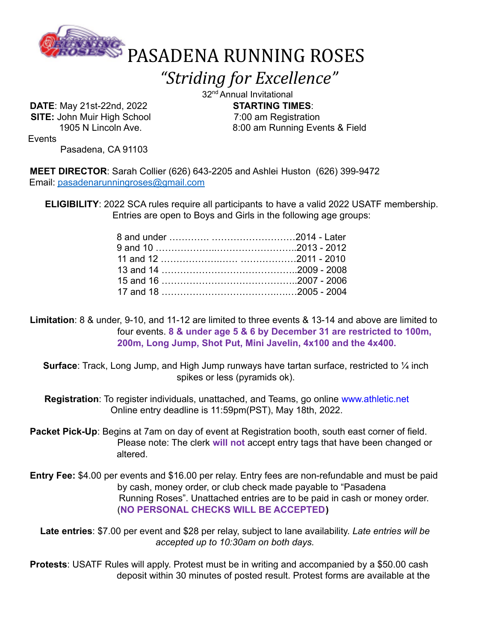

*"Striding for Excellence"*

**DATE**: May 21st-22nd, 2022 **STARTING TIMES**: **SITE:** John Muir High School 7:00 am Registration

32<sup>nd</sup> Annual Invitational 1905 N Lincoln Ave. 6.1 and 1905 N Lincoln Ave.

**Events** 

Pasadena, CA 91103

**MEET DIRECTOR**: Sarah Collier (626) 643-2205 and Ashlei Huston (626) 399-9472 Email: pasadenarunningroses@gmail.com

**ELIGIBILITY**: 2022 SCA rules require all participants to have a valid 2022 USATF membership. Entries are open to Boys and Girls in the following age groups:

**Limitation**: 8 & under, 9-10, and 11-12 are limited to three events & 13-14 and above are limited to four events. **8 & under age 5 & 6 by December 31 are restricted to 100m, 200m, Long Jump, Shot Put, Mini Javelin, 4x100 and the 4x400.**

**Surface**: Track, Long Jump, and High Jump runways have tartan surface, restricted to ¼ inch spikes or less (pyramids ok).

**Registration**: To register individuals, unattached, and Teams, go online www.athletic.net Online entry deadline is 11:59pm(PST), May 18th, 2022.

**Packet Pick-Up**: Begins at 7am on day of event at Registration booth, south east corner of field. Please note: The clerk **will not** accept entry tags that have been changed or altered.

**Entry Fee:** \$4.00 per events and \$16.00 per relay. Entry fees are non-refundable and must be paid by cash, money order, or club check made payable to "Pasadena Running Roses". Unattached entries are to be paid in cash or money order. (**NO PERSONAL CHECKS WILL BE ACCEPTED)**

**Late entries**: \$7.00 per event and \$28 per relay, subject to lane availability. *Late entries will be accepted up to 10:30am on both days.*

**Protests**: USATF Rules will apply. Protest must be in writing and accompanied by a \$50.00 cash deposit within 30 minutes of posted result. Protest forms are available at the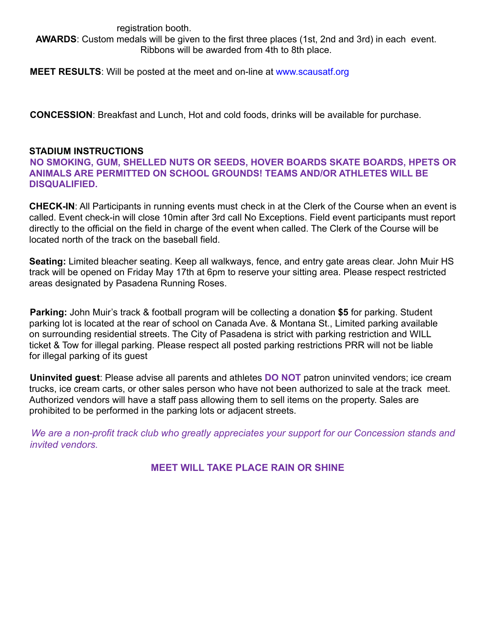#### registration booth. **AWARDS**: Custom medals will be given to the first three places (1st, 2nd and 3rd) in each event. Ribbons will be awarded from 4th to 8th place.

**MEET RESULTS**: Will be posted at the meet and on-line at www.scausatf.org

**CONCESSION**: Breakfast and Lunch, Hot and cold foods, drinks will be available for purchase.

#### **STADIUM INSTRUCTIONS**

**NO SMOKING, GUM, SHELLED NUTS OR SEEDS, HOVER BOARDS SKATE BOARDS, HPETS OR ANIMALS ARE PERMITTED ON SCHOOL GROUNDS! TEAMS AND/OR ATHLETES WILL BE DISQUALIFIED.**

**CHECK-IN**: All Participants in running events must check in at the Clerk of the Course when an event is called. Event check-in will close 10min after 3rd call No Exceptions. Field event participants must report directly to the official on the field in charge of the event when called. The Clerk of the Course will be located north of the track on the baseball field.

**Seating:** Limited bleacher seating. Keep all walkways, fence, and entry gate areas clear. John Muir HS track will be opened on Friday May 17th at 6pm to reserve your sitting area. Please respect restricted areas designated by Pasadena Running Roses.

**Parking:** John Muir's track & football program will be collecting a donation **\$5** for parking. Student parking lot is located at the rear of school on Canada Ave. & Montana St., Limited parking available on surrounding residential streets. The City of Pasadena is strict with parking restriction and WILL ticket & Tow for illegal parking. Please respect all posted parking restrictions PRR will not be liable for illegal parking of its guest

**Uninvited guest**: Please advise all parents and athletes **DO NOT** patron uninvited vendors; ice cream trucks, ice cream carts, or other sales person who have not been authorized to sale at the track meet. Authorized vendors will have a staff pass allowing them to sell items on the property. Sales are prohibited to be performed in the parking lots or adjacent streets.

*We are a non-profit track club who greatly appreciates your support for our Concession stands and invited vendors.*

#### **MEET WILL TAKE PLACE RAIN OR SHINE**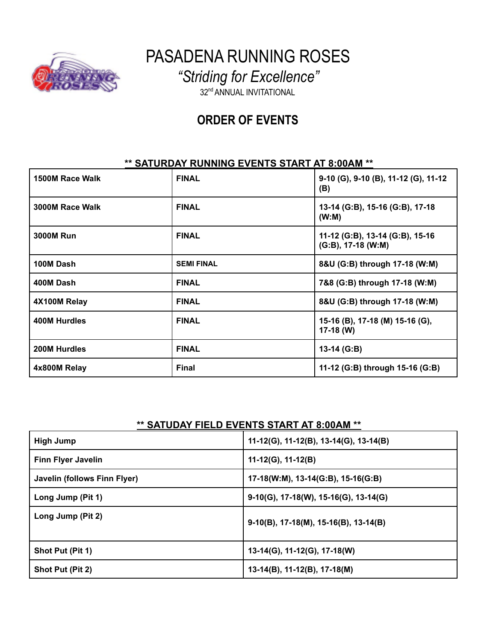

PASADENA RUNNING ROSES

*"Striding for Excellence"*

32<sup>nd</sup> ANNUAL INVITATIONAL

## **ORDER OF EVENTS**

#### **\*\* SATURDAY RUNNING EVENTS START AT 8:00AM \*\***

| 1500M Race Walk  | <b>FINAL</b>      | 9-10 (G), 9-10 (B), 11-12 (G), 11-12<br>(B)              |
|------------------|-------------------|----------------------------------------------------------|
| 3000M Race Walk  | <b>FINAL</b>      | 13-14 (G:B), 15-16 (G:B), 17-18<br>(W:M)                 |
| <b>3000M Run</b> | <b>FINAL</b>      | 11-12 (G:B), 13-14 (G:B), 15-16<br>$(G:B)$ , 17-18 (W:M) |
| 100M Dash        | <b>SEMI FINAL</b> | 8&U (G:B) through 17-18 (W:M)                            |
| 400M Dash        | <b>FINAL</b>      | 7&8 (G:B) through 17-18 (W:M)                            |
| 4X100M Relay     | <b>FINAL</b>      | 8&U (G:B) through 17-18 (W:M)                            |
| 400M Hurdles     | <b>FINAL</b>      | 15-16 (B), 17-18 (M) 15-16 (G),<br>$17-18$ (W)           |
| 200M Hurdles     | <b>FINAL</b>      | 13-14 (G:B)                                              |
| 4x800M Relay     | <b>Final</b>      | 11-12 (G:B) through 15-16 (G:B)                          |

## **\*\* SATUDAY FIELD EVENTS START AT 8:00AM \*\***

| <b>High Jump</b>             | $11-12(G)$ , 11-12(B), 13-14(G), 13-14(B) |
|------------------------------|-------------------------------------------|
| <b>Finn Flyer Javelin</b>    | $11-12(G)$ , 11-12(B)                     |
| Javelin (follows Finn Flyer) | $17-18(W:M), 13-14(G:B), 15-16(G:B)$      |
| Long Jump (Pit 1)            | $9-10(G)$ , 17-18(W), 15-16(G), 13-14(G)  |
| Long Jump (Pit 2)            | $9-10(B)$ , 17-18(M), 15-16(B), 13-14(B)  |
| Shot Put (Pit 1)             | 13-14(G), 11-12(G), 17-18(W)              |
| Shot Put (Pit 2)             | 13-14(B), 11-12(B), 17-18(M)              |